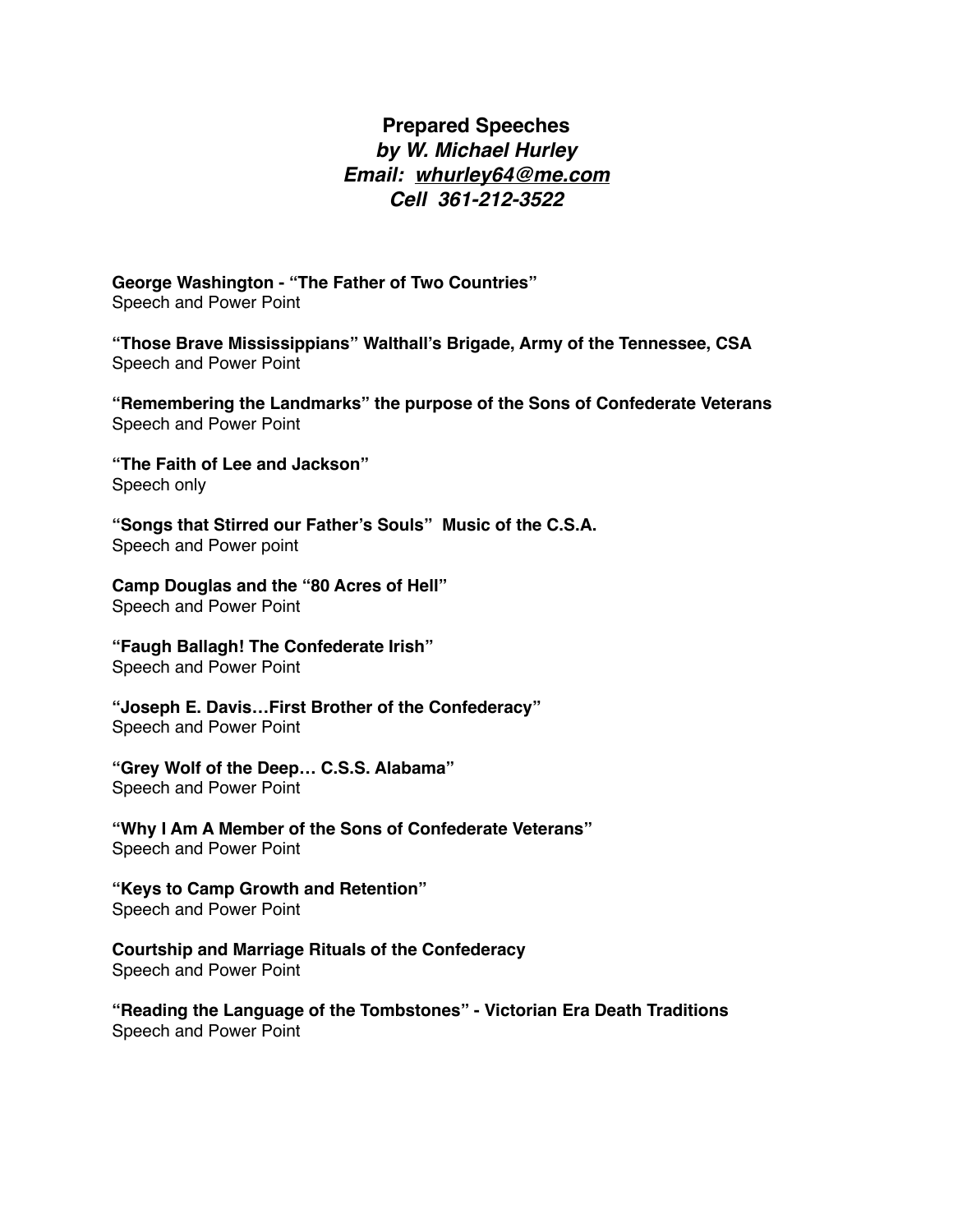## **Prepared Speeches** *by W. Michael Hurley Email: [whurley64@me.com](mailto:whurley64@me.com) Cell 361-212-3522*

**George Washington - "The Father of Two Countries"** Speech and Power Point

**"Those Brave Mississippians" Walthall's Brigade, Army of the Tennessee, CSA** Speech and Power Point

**"Remembering the Landmarks" the purpose of the Sons of Confederate Veterans** Speech and Power Point

**"The Faith of Lee and Jackson"** Speech only

**"Songs that Stirred our Father's Souls" Music of the C.S.A.** Speech and Power point

**Camp Douglas and the "80 Acres of Hell"** Speech and Power Point

**"Faugh Ballagh! The Confederate Irish"** Speech and Power Point

**"Joseph E. Davis…First Brother of the Confederacy"** Speech and Power Point

**"Grey Wolf of the Deep… C.S.S. Alabama"** Speech and Power Point

**"Why I Am A Member of the Sons of Confederate Veterans"** Speech and Power Point

**"Keys to Camp Growth and Retention"**  Speech and Power Point

**Courtship and Marriage Rituals of the Confederacy** Speech and Power Point

**"Reading the Language of the Tombstones" - Victorian Era Death Traditions** Speech and Power Point